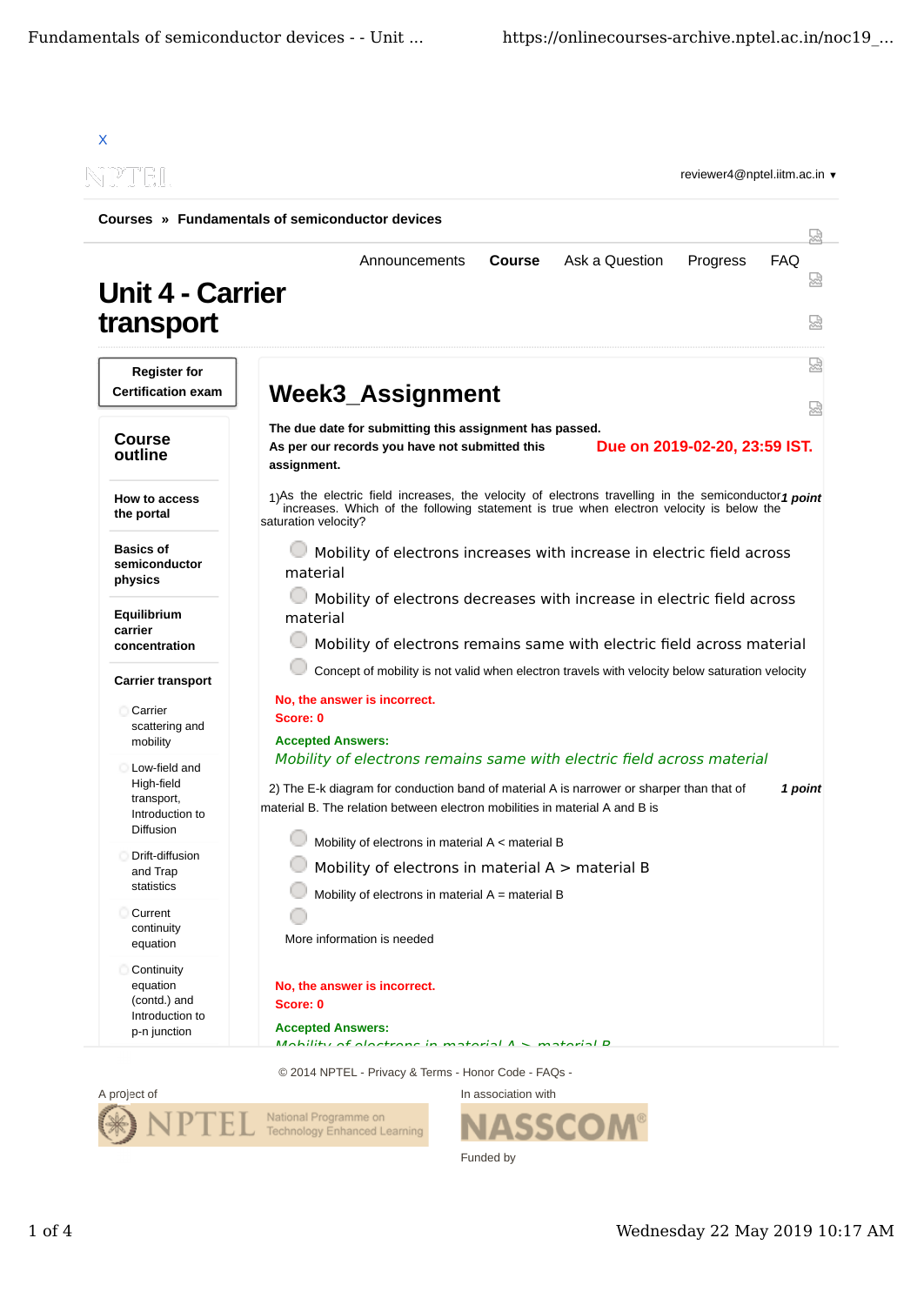

In association with



ASSCO Funded by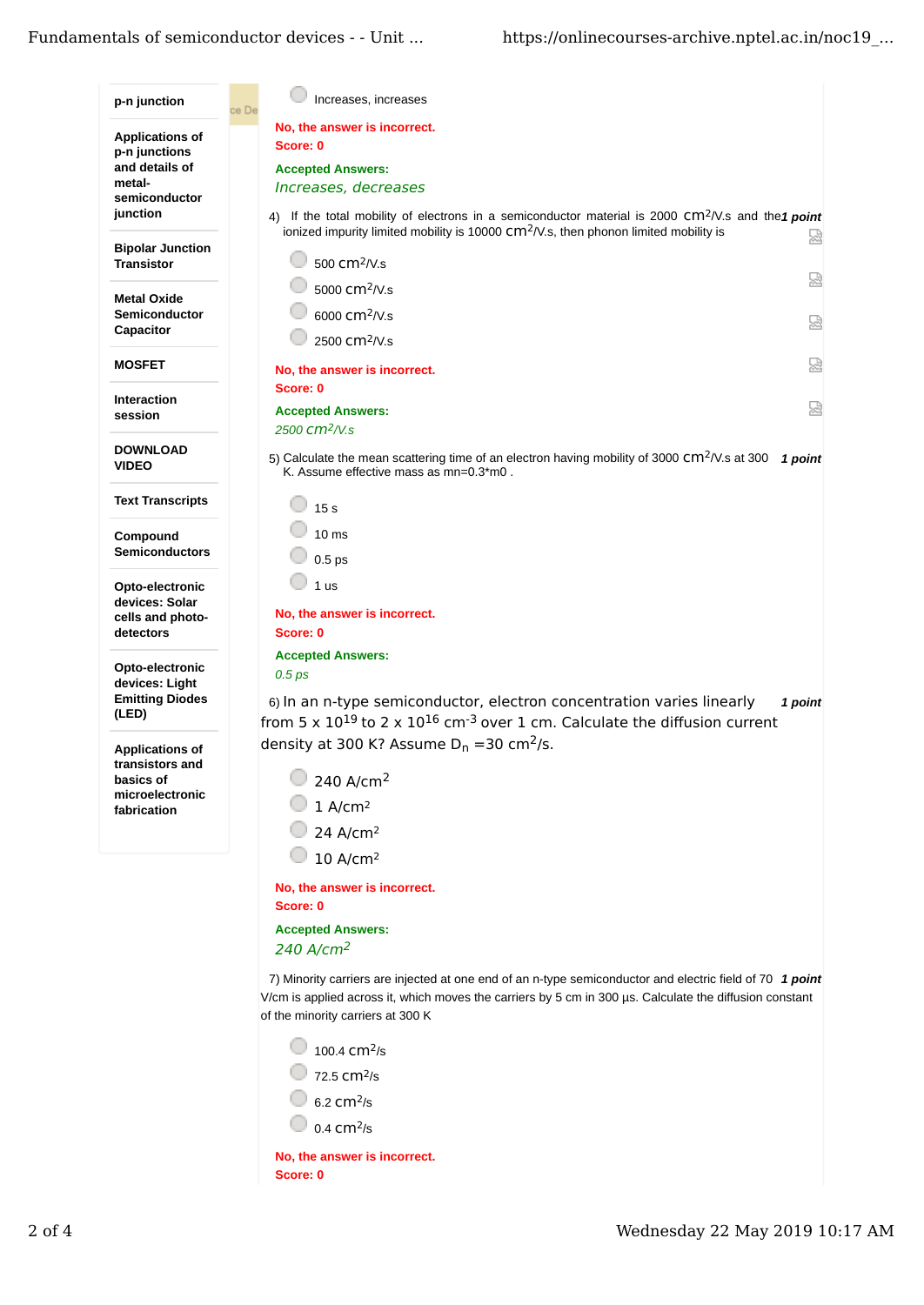| p-n junction                                                                                     | Increases, increases<br>ce De                                                                                                                                                                                                                                                                                                                                                       |  |  |
|--------------------------------------------------------------------------------------------------|-------------------------------------------------------------------------------------------------------------------------------------------------------------------------------------------------------------------------------------------------------------------------------------------------------------------------------------------------------------------------------------|--|--|
| <b>Applications of</b><br>p-n junctions<br>and details of<br>metal-<br>semiconductor<br>junction | No, the answer is incorrect.<br>Score: 0<br><b>Accepted Answers:</b><br>Increases, decreases<br>4) If the total mobility of electrons in a semiconductor material is 2000 $\text{cm}^2/\text{V}$ .s and the 1 point                                                                                                                                                                 |  |  |
| <b>Bipolar Junction</b><br><b>Transistor</b>                                                     | ionized impurity limited mobility is 10000 CM <sup>2</sup> /V.s, then phonon limited mobility is<br>썮<br>500 cm <sup>2</sup> /V.s                                                                                                                                                                                                                                                   |  |  |
| <b>Metal Oxide</b><br>Semiconductor<br>Capacitor                                                 | 요<br>5000 cm <sup>2</sup> /V.s<br>6000 cm <sup>2</sup> /V.s<br>얺<br>2500 cm <sup>2</sup> /V.s                                                                                                                                                                                                                                                                                       |  |  |
| <b>MOSFET</b>                                                                                    | 요<br>No, the answer is incorrect.                                                                                                                                                                                                                                                                                                                                                   |  |  |
| <b>Interaction</b><br>session                                                                    | Score: 0<br>덣<br><b>Accepted Answers:</b><br>2500 CM <sup>2</sup> /V.s                                                                                                                                                                                                                                                                                                              |  |  |
| <b>DOWNLOAD</b><br><b>VIDEO</b>                                                                  | 5) Calculate the mean scattering time of an electron having mobility of 3000 CM <sup>2</sup> /V.s at 300<br>1 point<br>K. Assume effective mass as mn=0.3*m0.                                                                                                                                                                                                                       |  |  |
| <b>Text Transcripts</b>                                                                          | 15 <sub>s</sub>                                                                                                                                                                                                                                                                                                                                                                     |  |  |
| Compound<br><b>Semiconductors</b>                                                                | 10 <sub>ms</sub><br>$0.5$ ps                                                                                                                                                                                                                                                                                                                                                        |  |  |
| Opto-electronic<br>devices: Solar<br>cells and photo-<br>detectors                               | 1 <sub>us</sub><br>No, the answer is incorrect.<br>Score: 0<br><b>Accepted Answers:</b><br>$0.5$ $ps$<br>6) In an n-type semiconductor, electron concentration varies linearly<br>1 point<br>from 5 x $10^{19}$ to 2 x $10^{16}$ cm <sup>-3</sup> over 1 cm. Calculate the diffusion current                                                                                        |  |  |
| Opto-electronic<br>devices: Light<br><b>Emitting Diodes</b><br>(LED)                             |                                                                                                                                                                                                                                                                                                                                                                                     |  |  |
| <b>Applications of</b><br>transistors and<br>basics of<br>microelectronic<br>fabrication         | density at 300 K? Assume $D_n = 30$ cm <sup>2</sup> /s.<br>$240 \ \text{A/cm}^2$<br>$1$ A/cm <sup>2</sup><br>24 A/cm <sup>2</sup><br>10 A/cm <sup>2</sup>                                                                                                                                                                                                                           |  |  |
|                                                                                                  | No, the answer is incorrect.<br>Score: 0<br><b>Accepted Answers:</b><br>240 A/cm <sup>2</sup>                                                                                                                                                                                                                                                                                       |  |  |
|                                                                                                  | 7) Minority carriers are injected at one end of an n-type semiconductor and electric field of 70 1 point<br>V/cm is applied across it, which moves the carriers by 5 cm in 300 µs. Calculate the diffusion constant<br>of the minority carriers at 300 K<br>100.4 cm <sup>2</sup> /s<br>72.5 cm <sup>2</sup> /s<br>$6.2$ cm $2/s$<br>$0.4$ cm $2/s$<br>No, the answer is incorrect. |  |  |
|                                                                                                  | Score: 0                                                                                                                                                                                                                                                                                                                                                                            |  |  |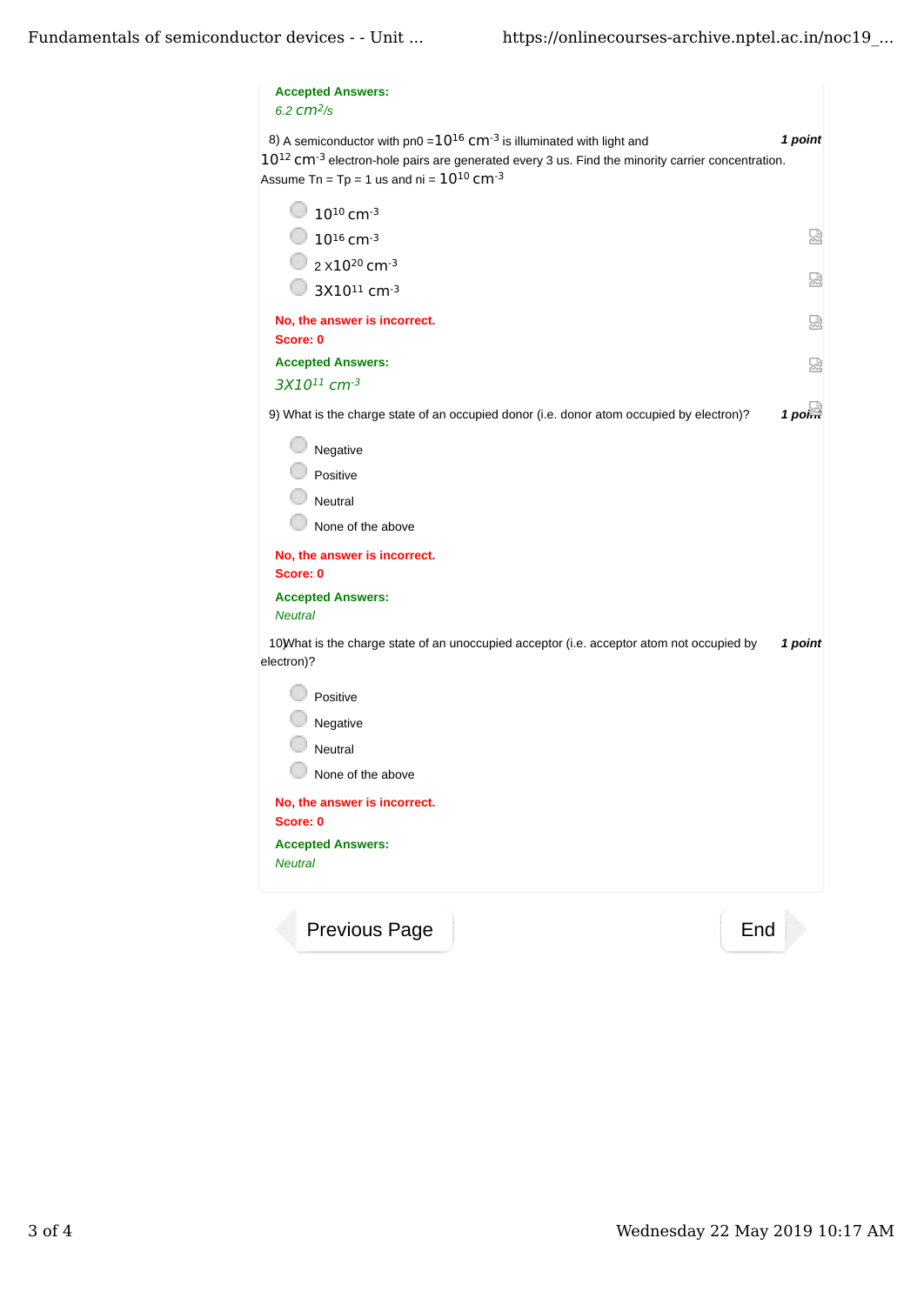| <b>Accepted Answers:</b><br>6.2 $cm2/s$                                                                                                                                                                                                                            |     |           |
|--------------------------------------------------------------------------------------------------------------------------------------------------------------------------------------------------------------------------------------------------------------------|-----|-----------|
| 8) A semiconductor with $pn0 = 10^{16}$ cm <sup>-3</sup> is illuminated with light and<br>$10^{12}$ CM $^{-3}$ electron-hole pairs are generated every 3 us. Find the minority carrier concentration.<br>Assume Tn = Tp = 1 us and ni = $10^{10}$ Cm <sup>-3</sup> |     | 1 point   |
| $10^{10}$ cm <sup>-3</sup>                                                                                                                                                                                                                                         |     |           |
| $\bigcirc$ 10 <sup>16</sup> cm <sup>-3</sup>                                                                                                                                                                                                                       |     | 曷         |
| 2 x 10 <sup>20</sup> cm <sup>-3</sup>                                                                                                                                                                                                                              |     |           |
| $\bigcirc$ 3X10 <sup>11</sup> cm <sup>-3</sup>                                                                                                                                                                                                                     |     | 덣         |
| No, the answer is incorrect.<br>Score: 0                                                                                                                                                                                                                           |     | Ы         |
| <b>Accepted Answers:</b>                                                                                                                                                                                                                                           |     | 恳         |
| 3X10 <sup>11</sup> cm-3                                                                                                                                                                                                                                            |     |           |
| 9) What is the charge state of an occupied donor (i.e. donor atom occupied by electron)?                                                                                                                                                                           |     | $1$ point |
| Negative                                                                                                                                                                                                                                                           |     |           |
| Positive                                                                                                                                                                                                                                                           |     |           |
| Neutral                                                                                                                                                                                                                                                            |     |           |
| None of the above                                                                                                                                                                                                                                                  |     |           |
| No, the answer is incorrect.<br>Score: 0                                                                                                                                                                                                                           |     |           |
| <b>Accepted Answers:</b><br><b>Neutral</b>                                                                                                                                                                                                                         |     |           |
| 10) What is the charge state of an unoccupied acceptor (i.e. acceptor atom not occupied by<br>electron)?                                                                                                                                                           |     | 1 point   |
| Positive                                                                                                                                                                                                                                                           |     |           |
| Negative                                                                                                                                                                                                                                                           |     |           |
| Neutral                                                                                                                                                                                                                                                            |     |           |
| None of the above                                                                                                                                                                                                                                                  |     |           |
| No, the answer is incorrect.<br>Score: 0                                                                                                                                                                                                                           |     |           |
| <b>Accepted Answers:</b><br><b>Neutral</b>                                                                                                                                                                                                                         |     |           |
| Previous Page                                                                                                                                                                                                                                                      | End |           |